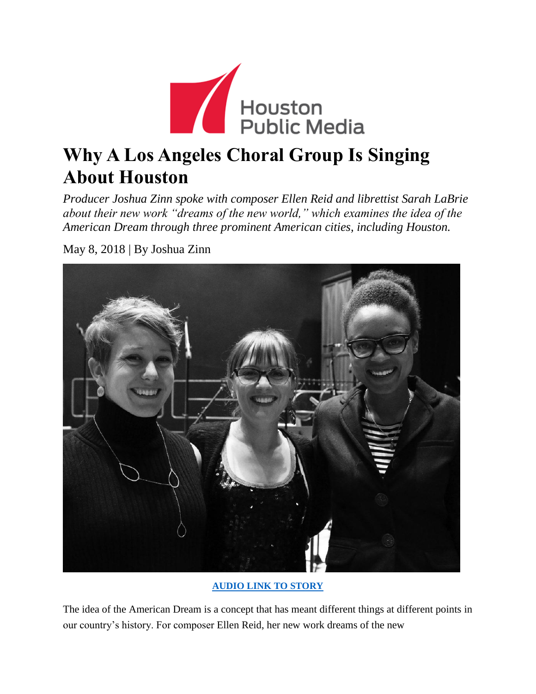

## **Why A Los Angeles Choral Group Is Singing About Houston**

*Producer Joshua Zinn spoke with composer Ellen Reid and librettist Sarah LaBrie about their new work "dreams of the new world," which examines the idea of the American Dream through three prominent American cities, including Houston.*

May 8, 2018 | By Joshua Zinn

**[AUDIO LINK TO STORY](https://soundcloud.com/houstonmatters/why-a-los-angeles-choral-group-is-singing-about-houston)**

The idea of the [American](https://en.wikipedia.org/wiki/American_Dream) Dream is a concept that has meant different things at different points in our country's history. For composer [Ellen](https://lamasterchorale.org/ellen-reid) Reid, her new work [dreams](https://lamasterchorale.org/reid-and-riley) of the new